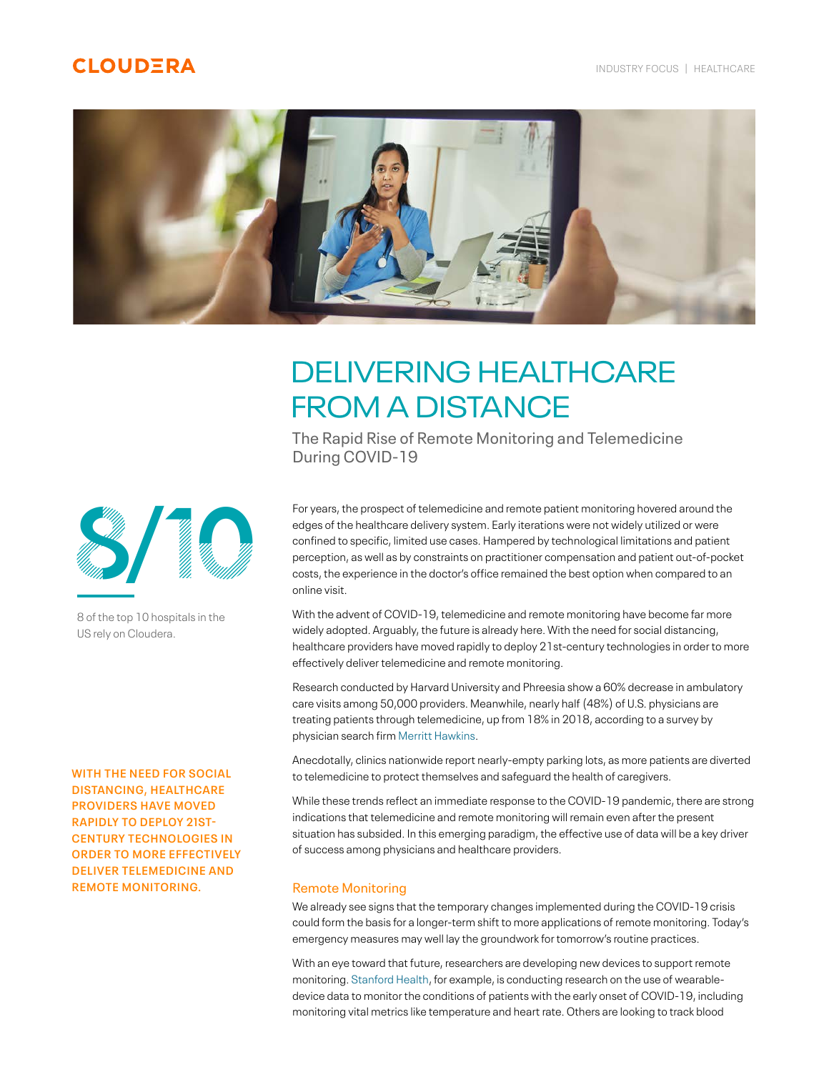# **CLOUDERA**



# DELIVERING HEALTHCARE FROM A DISTANCE

 The Rapid Rise of Remote Monitoring and Telemedicine During COVID-19

For years, the prospect of telemedicine and remote patient monitoring hovered around the edges of the healthcare delivery system. Early iterations were not widely utilized or were confined to specific, limited use cases. Hampered by technological limitations and patient perception, as well as by constraints on practitioner compensation and patient out-of-pocket costs, the experience in the doctor's office remained the best option when compared to an online visit.

With the advent of COVID-19, telemedicine and remote monitoring have become far more widely adopted. Arguably, the future is already here. With the need for social distancing, healthcare providers have moved rapidly to deploy 21st-century technologies in order to more effectively deliver telemedicine and remote monitoring.

Research conducted by Harvard University and Phreesia show a 60% decrease in ambulatory care visits among 50,000 providers. Meanwhile, nearly half (48%) of U.S. physicians are treating patients through telemedicine, up from 18% in 2018, according to a survey by physician search firm Merritt Hawkins.

Anecdotally, clinics nationwide report nearly-empty parking lots, as more patients are diverted to telemedicine to protect themselves and safeguard the health of caregivers.

While these trends reflect an immediate response to the COVID-19 pandemic, there are strong indications that telemedicine and remote monitoring will remain even after the present situation has subsided. In this emerging paradigm, the effective use of data will be a key driver of success among physicians and healthcare providers.

## Remote Monitoring

We already see signs that the temporary changes implemented during the COVID-19 crisis could form the basis for a longer-term shift to more applications of remote monitoring. Today's emergency measures may well lay the groundwork for tomorrow's routine practices.

With an eye toward that future, researchers are developing new devices to support remote monitoring. Stanford Health, for example, is conducting research on the use of wearabledevice data to monitor the conditions of patients with the early onset of COVID-19, including monitoring vital metrics like temperature and heart rate. Others are looking to track blood

8/10

8 of the top 10 hospitals in the US rely on Cloudera.

**WITH THE NEED FOR SOCIAL DISTANCING, HEALTHCARE PROVIDERS HAVE MOVED RAPIDLY TO DEPLOY 21ST-CENTURY TECHNOLOGIES IN ORDER TO MORE EFFECTIVELY DELIVER TELEMEDICINE AND REMOTE MONITORING.**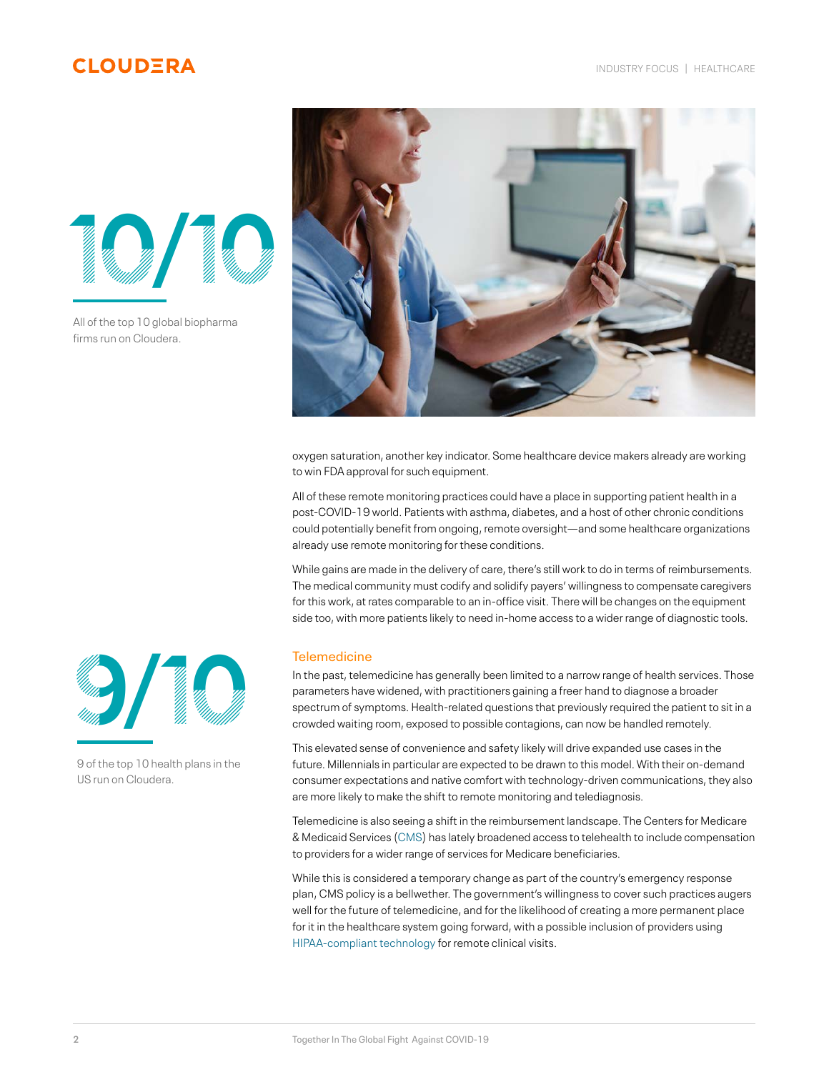# **CLOUDERA**



All of the top 10 global biopharma firms run on Cloudera.



oxygen saturation, another key indicator. Some healthcare device makers already are working to win FDA approval for such equipment.

All of these remote monitoring practices could have a place in supporting patient health in a post-COVID-19 world. Patients with asthma, diabetes, and a host of other chronic conditions could potentially benefit from ongoing, remote oversight—and some healthcare organizations already use remote monitoring for these conditions.

While gains are made in the delivery of care, there's still work to do in terms of reimbursements. The medical community must codify and solidify payers' willingness to compensate caregivers for this work, at rates comparable to an in-office visit. There will be changes on the equipment side too, with more patients likely to need in-home access to a wider range of diagnostic tools.

## **Telemedicine**

In the past, telemedicine has generally been limited to a narrow range of health services. Those parameters have widened, with practitioners gaining a freer hand to diagnose a broader spectrum of symptoms. Health-related questions that previously required the patient to sit in a crowded waiting room, exposed to possible contagions, can now be handled remotely.

This elevated sense of convenience and safety likely will drive expanded use cases in the future. Millennials in particular are expected to be drawn to this model. With their on-demand consumer expectations and native comfort with technology-driven communications, they also are more likely to make the shift to remote monitoring and telediagnosis.

Telemedicine is also seeing a shift in the reimbursement landscape. The Centers for Medicare & Medicaid Services (CMS) has lately broadened access to telehealth to include compensation to providers for a wider range of services for Medicare beneficiaries.

While this is considered a temporary change as part of the country's emergency response plan, CMS policy is a bellwether. The government's willingness to cover such practices augers well for the future of telemedicine, and for the likelihood of creating a more permanent place for it in the healthcare system going forward, with a possible inclusion of providers using HIPAA-compliant technology for remote clinical visits.



9 of the top 10 health plans in the US run on Cloudera.